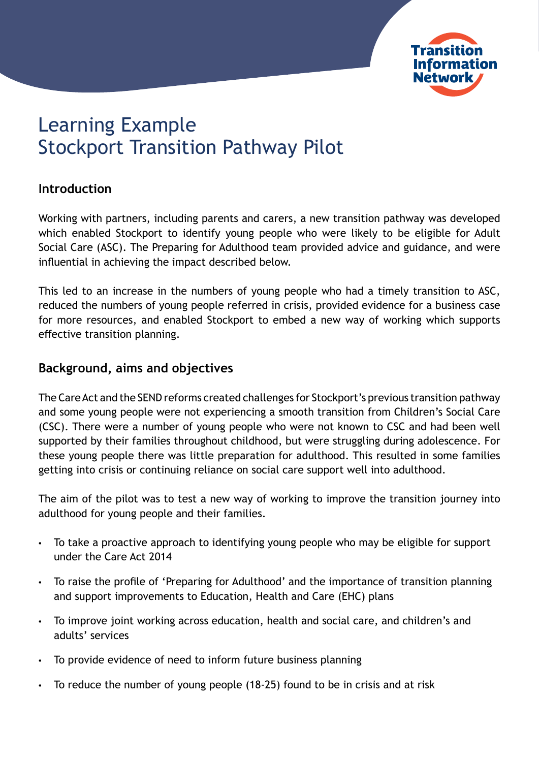

# Learning Example Stockport Transition Pathway Pilot

## **Introduction**

Working with partners, including parents and carers, a new transition pathway was developed which enabled Stockport to identify young people who were likely to be eligible for Adult Social Care (ASC). The Preparing for Adulthood team provided advice and guidance, and were influential in achieving the impact described below.

This led to an increase in the numbers of young people who had a timely transition to ASC, reduced the numbers of young people referred in crisis, provided evidence for a business case for more resources, and enabled Stockport to embed a new way of working which supports effective transition planning.

### **Background, aims and objectives**

The Care Act and the SEND reforms created challenges for Stockport's previous transition pathway and some young people were not experiencing a smooth transition from Children's Social Care (CSC). There were a number of young people who were not known to CSC and had been well supported by their families throughout childhood, but were struggling during adolescence. For these young people there was little preparation for adulthood. This resulted in some families getting into crisis or continuing reliance on social care support well into adulthood.

The aim of the pilot was to test a new way of working to improve the transition journey into adulthood for young people and their families.

- To take a proactive approach to identifying young people who may be eligible for support under the Care Act 2014
- To raise the profile of 'Preparing for Adulthood' and the importance of transition planning and support improvements to Education, Health and Care (EHC) plans
- To improve joint working across education, health and social care, and children's and adults' services
- To provide evidence of need to inform future business planning
- To reduce the number of young people (18-25) found to be in crisis and at risk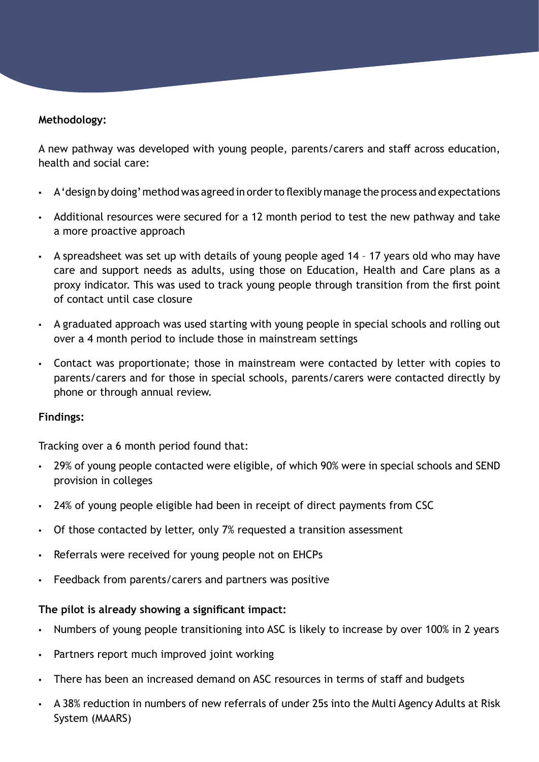#### **Methodology:**

A new pathway was developed with young people, parents/carers and staff across education, health and social care:

- A 'design by doing' method was agreed in order to flexibly manage the process and expectations
- Additional resources were secured for a 12 month period to test the new pathway and take a more proactive approach
- A spreadsheet was set up with details of young people aged 14 17 years old who may have care and support needs as adults, using those on Education, Health and Care plans as a proxy indicator. This was used to track young people through transition from the first point of contact until case closure
- A graduated approach was used starting with young people in special schools and rolling out over a 4 month period to include those in mainstream settings
- Contact was proportionate; those in mainstream were contacted by letter with copies to parents/carers and for those in special schools, parents/carers were contacted directly by phone or through annual review.

#### **Findings:**

Tracking over a 6 month period found that:

- 29% of young people contacted were eligible, of which 90% were in special schools and SEND provision in colleges
- 24% of young people eligible had been in receipt of direct payments from CSC
- Of those contacted by letter, only 7% requested a transition assessment
- Referrals were received for young people not on EHCPs
- Feedback from parents/carers and partners was positive

#### **The pilot is already showing a significant impact:**

- Numbers of young people transitioning into ASC is likely to increase by over 100% in 2 years
- Partners report much improved joint working
- There has been an increased demand on ASC resources in terms of staff and budgets
- A 38% reduction in numbers of new referrals of under 25s into the Multi Agency Adults at Risk System (MAARS)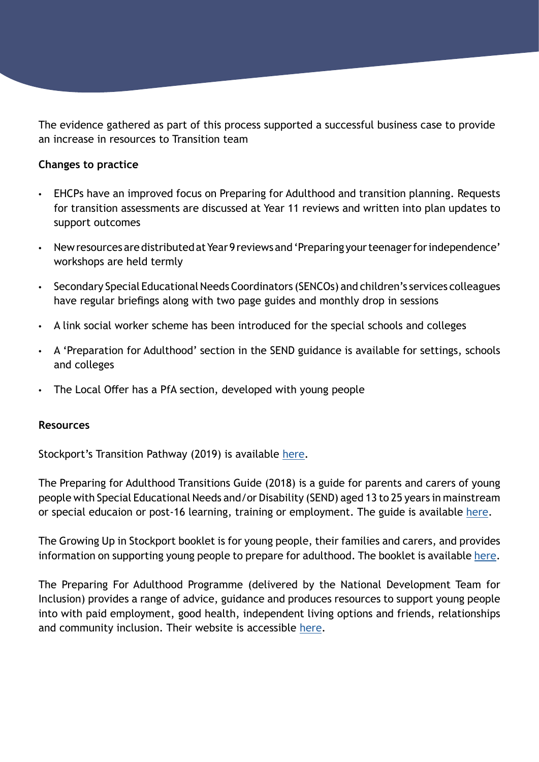The evidence gathered as part of this process supported a successful business case to provide an increase in resources to Transition team

#### **Changes to practice**

- EHCPs have an improved focus on Preparing for Adulthood and transition planning. Requests for transition assessments are discussed at Year 11 reviews and written into plan updates to support outcomes
- New resources are distributed at Year 9 reviews and 'Preparing your teenager for independence' workshops are held termly
- Secondary Special Educational Needs Coordinators (SENCOs) and children's services colleagues have regular briefings along with two page guides and monthly drop in sessions
- A link social worker scheme has been introduced for the special schools and colleges
- A 'Preparation for Adulthood' section in the SEND guidance is available for settings, schools and colleges
- The Local Offer has a PfA section, developed with young people

#### **Resources**

Stockport's Transition Pathway (2019) is available [here.](https://search3.openobjects.com/mediamanager/stockport/fsd/files/transition_to_adulthood_pathway_-_v16_-_july_2019.pdf)

The Preparing for Adulthood Transitions Guide (2018) is a guide for parents and carers of young people with Special Educational Needs and/or Disability (SEND) aged 13 to 25 years in mainstream or special educaion or post-16 learning, training or employment. The guide is available [here.](https://search3.openobjects.com/mediamanager/stockport/fsd/files/transition_guide_for_parents_and_carers_-_pips_-_may_2018.pdf)

The Growing Up in Stockport booklet is for young people, their families and carers, and provides information on supporting young people to prepare for adulthood. The booklet is available [here](https://search3.openobjects.com/mediamanager/stockport/fsd/files/growing_up_in_stockport_-_final_version.pdf).

The Preparing For Adulthood Programme (delivered by the National Development Team for Inclusion) provides a range of advice, guidance and produces resources to support young people into with paid employment, good health, independent living options and friends, relationships and community inclusion. Their website is accessible [here](https://www.preparingforadulthood.org.uk/about-us).